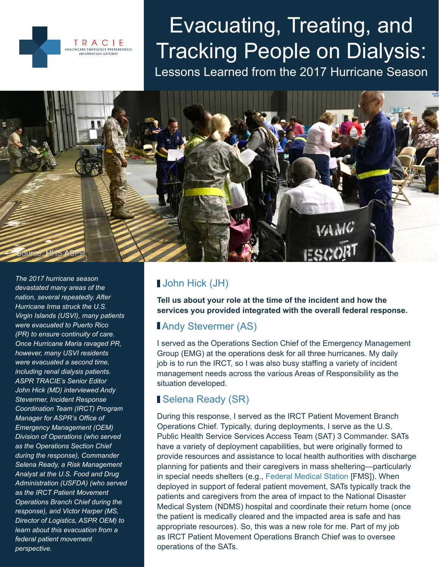

# Evacuating, Treating, and Tracking People on Dialysis:

Lessons Learned from the 2017 Hurricane Season



*The 2017 hurricane season devastated many areas of the nation, several repeatedly. After Hurricane Irma struck the U.S. Virgin Islands (USVI), many patients were evacuated to Puerto Rico (PR) to ensure continuity of care. Once Hurricane Maria ravaged PR, however, many USVI residents were evacuated a second time, including renal dialysis patients. ASPR TRACIE's Senior Editor John Hick (MD) interviewed Andy Stevermer, Incident Response Coordination Team (IRCT) Program Manager for ASPR's Office of Emergency Management (OEM) Division of Operations (who served as the Operations Section Chief during the response), Commander Selena Ready, a Risk Management Analyst at the U.S. Food and Drug Administration (USFDA) (who served as the IRCT Patient Movement Operations Branch Chief during the response), and Victor Harper (MS, Director of Logistics, ASPR OEM) to learn about this evacuation from a federal patient movement perspective.*

# John Hick (JH)

**Tell us about your role at the time of the incident and how the services you provided integrated with the overall federal response.**

# **Andy Stevermer (AS)**

I served as the Operations Section Chief of the Emergency Management Group (EMG) at the operations desk for all three hurricanes. My daily job is to run the IRCT, so I was also busy staffing a variety of incident management needs across the various Areas of Responsibility as the situation developed.

# Selena Ready (SR)

During this response, I served as the IRCT Patient Movement Branch Operations Chief. Typically, during deployments, I serve as the U.S. Public Health Service Services Access Team (SAT) 3 Commander. SATs have a variety of deployment capabilities, but were originally formed to provide resources and assistance to local health authorities with discharge planning for patients and their caregivers in mass sheltering—particularly in special needs shelters (e.g., [Federal Medical Station](https://www.phe.gov/Preparedness/support/medicalassistance/Pages/default.aspx#fms) [FMS]). When deployed in support of federal patient movement, SATs typically track the patients and caregivers from the area of impact to the National Disaster Medical System (NDMS) hospital and coordinate their return home (once the patient is medically cleared and the impacted area is safe and has appropriate resources). So, this was a new role for me. Part of my job as IRCT Patient Movement Operations Branch Chief was to oversee operations of the SATs.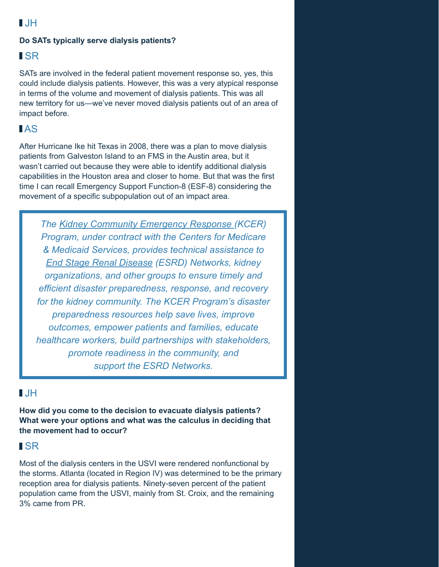# $\blacksquare$

#### **Do SATs typically serve dialysis patients?**

### **ISR**

SATs are involved in the federal patient movement response so, yes, this could include dialysis patients. However, this was a very atypical response in terms of the volume and movement of dialysis patients. This was all new territory for us—we've never moved dialysis patients out of an area of impact before.

# AS

After Hurricane Ike hit Texas in 2008, there was a plan to move dialysis patients from Galveston Island to an FMS in the Austin area, but it wasn't carried out because they were able to identify additional dialysis capabilities in the Houston area and closer to home. But that was the first time I can recall Emergency Support Function-8 (ESF-8) considering the movement of a specific subpopulation out of an impact area.

*The [Kidney Community Emergency Response \(](https://www.kcercoalition.com)KCER) Program, under contract with the Centers for Medicare & Medicaid Services, provides technical assistance to [End Stage Renal Disease](http://www.esrdnetworks.org) (ESRD) Networks, kidney organizations, and other groups to ensure timely and efficient disaster preparedness, response, and recovery for the kidney community. The KCER Program's disaster preparedness resources help save lives, improve outcomes, empower patients and families, educate healthcare workers, build partnerships with stakeholders, promote readiness in the community, and support the ESRD Networks.*

## $\blacksquare$

**How did you come to the decision to evacuate dialysis patients? What were your options and what was the calculus in deciding that the movement had to occur?**

## **ISR**

Most of the dialysis centers in the USVI were rendered nonfunctional by the storms. Atlanta (located in Region IV) was determined to be the primary reception area for dialysis patients. Ninety-seven percent of the patient population came from the USVI, mainly from St. Croix, and the remaining 3% came from PR.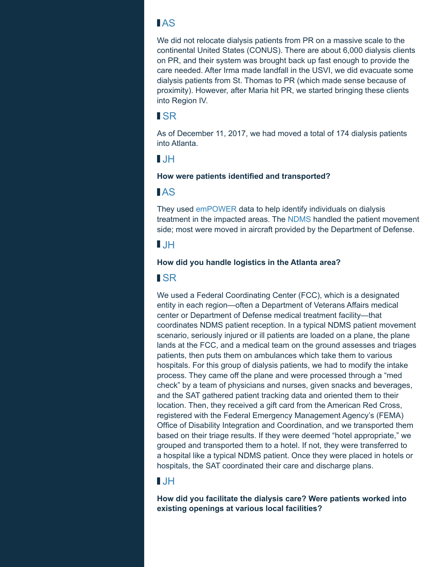## AS

We did not relocate dialysis patients from PR on a massive scale to the continental United States (CONUS). There are about 6,000 dialysis clients on PR, and their system was brought back up fast enough to provide the care needed. After Irma made landfall in the USVI, we did evacuate some dialysis patients from St. Thomas to PR (which made sense because of proximity). However, after Maria hit PR, we started bringing these clients into Region IV.

### SR

As of December 11, 2017, we had moved a total of 174 dialysis patients into Atlanta.

## $\blacksquare$ .  $\blacksquare$

#### **How were patients identified and transported?**

# AS

They used [emPOWER](https://empowermap.hhs.gov) data to help identify individuals on dialysis treatment in the impacted areas. The [NDMS](https://www.phe.gov/Preparedness/responders/ndms/Pages/default.aspx) handled the patient movement side; most were moved in aircraft provided by the Department of Defense.

# $I$  JH

#### **How did you handle logistics in the Atlanta area?**

## **ISR**

We used a Federal Coordinating Center (FCC), which is a designated entity in each region—often a Department of Veterans Affairs medical center or Department of Defense medical treatment facility—that coordinates NDMS patient reception. In a typical NDMS patient movement scenario, seriously injured or ill patients are loaded on a plane, the plane lands at the FCC, and a medical team on the ground assesses and triages patients, then puts them on ambulances which take them to various hospitals. For this group of dialysis patients, we had to modify the intake process. They came off the plane and were processed through a "med check" by a team of physicians and nurses, given snacks and beverages, and the SAT gathered patient tracking data and oriented them to their location. Then, they received a gift card from the American Red Cross, registered with the Federal Emergency Management Agency's (FEMA) Office of Disability Integration and Coordination, and we transported them based on their triage results. If they were deemed "hotel appropriate," we grouped and transported them to a hotel. If not, they were transferred to a hospital like a typical NDMS patient. Once they were placed in hotels or hospitals, the SAT coordinated their care and discharge plans.

# JH

**How did you facilitate the dialysis care? Were patients worked into existing openings at various local facilities?**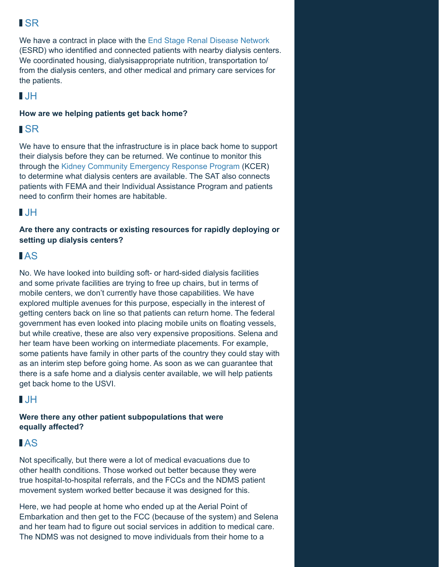# SR

We have a contract in place with the [End Stage Renal Disease Network](https://www.esrdncc.org) (ESRD) who identified and connected patients with nearby dialysis centers. We coordinated housing, dialysisappropriate nutrition, transportation to/ from the dialysis centers, and other medical and primary care services for the patients.

# $\blacksquare$

#### **How are we helping patients get back home?**

# SR

We have to ensure that the infrastructure is in place back home to support their dialysis before they can be returned. We continue to monitor this through the [Kidney Community Emergency Response Program](https://www.kcercoalition.com) (KCER) to determine what dialysis centers are available. The SAT also connects patients with FEMA and their Individual Assistance Program and patients need to confirm their homes are habitable.

# JH

**Are there any contracts or existing resources for rapidly deploying or setting up dialysis centers?**

# AS

No. We have looked into building soft- or hard-sided dialysis facilities and some private facilities are trying to free up chairs, but in terms of mobile centers, we don't currently have those capabilities. We have explored multiple avenues for this purpose, especially in the interest of getting centers back on line so that patients can return home. The federal government has even looked into placing mobile units on floating vessels, but while creative, these are also very expensive propositions. Selena and her team have been working on intermediate placements. For example, some patients have family in other parts of the country they could stay with as an interim step before going home. As soon as we can guarantee that there is a safe home and a dialysis center available, we will help patients get back home to the USVI.

# $\blacksquare$ .  $\blacksquare$

**Were there any other patient subpopulations that were equally affected?**

# AS

Not specifically, but there were a lot of medical evacuations due to other health conditions. Those worked out better because they were true hospital-to-hospital referrals, and the FCCs and the NDMS patient movement system worked better because it was designed for this.

Here, we had people at home who ended up at the Aerial Point of Embarkation and then get to the FCC (because of the system) and Selena and her team had to figure out social services in addition to medical care. The NDMS was not designed to move individuals from their home to a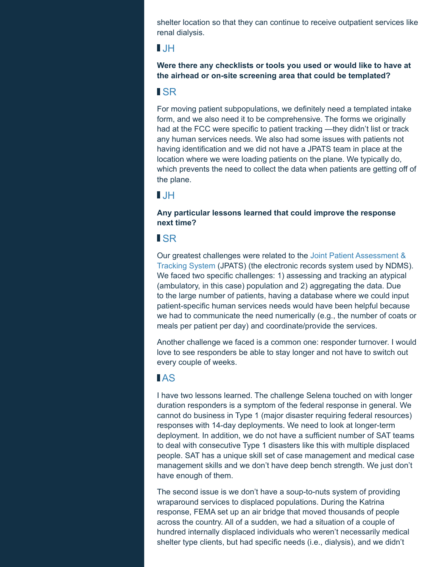shelter location so that they can continue to receive outpatient services like renal dialysis.

#### $\blacksquare$

**Were there any checklists or tools you used or would like to have at the airhead or on-site screening area that could be templated?**

#### SR

For moving patient subpopulations, we definitely need a templated intake form, and we also need it to be comprehensive. The forms we originally had at the FCC were specific to patient tracking —they didn't list or track any human services needs. We also had some issues with patients not having identification and we did not have a JPATS team in place at the location where we were loading patients on the plane. We typically do, which prevents the need to collect the data when patients are getting off of the plane.

## $I$  JH

**Any particular lessons learned that could improve the response next time?**

## **ISR**

Our greatest challenges were related to the [Joint Patient Assessment &](https://asprwebapps.hhs.gov/jpats/protected/home.do;jsessionid=857CC0848E447A14480287D69BC43D4C)  [Tracking System](https://asprwebapps.hhs.gov/jpats/protected/home.do;jsessionid=857CC0848E447A14480287D69BC43D4C) (JPATS) (the electronic records system used by NDMS). We faced two specific challenges: 1) assessing and tracking an atypical (ambulatory, in this case) population and 2) aggregating the data. Due to the large number of patients, having a database where we could input patient-specific human services needs would have been helpful because we had to communicate the need numerically (e.g., the number of coats or meals per patient per day) and coordinate/provide the services.

Another challenge we faced is a common one: responder turnover. I would love to see responders be able to stay longer and not have to switch out every couple of weeks.

# AS

I have two lessons learned. The challenge Selena touched on with longer duration responders is a symptom of the federal response in general. We cannot do business in Type 1 (major disaster requiring federal resources) responses with 14-day deployments. We need to look at longer-term deployment. In addition, we do not have a sufficient number of SAT teams to deal with consecutive Type 1 disasters like this with multiple displaced people. SAT has a unique skill set of case management and medical case management skills and we don't have deep bench strength. We just don't have enough of them.

The second issue is we don't have a soup-to-nuts system of providing wraparound services to displaced populations. During the Katrina response, FEMA set up an air bridge that moved thousands of people across the country. All of a sudden, we had a situation of a couple of hundred internally displaced individuals who weren't necessarily medical shelter type clients, but had specific needs (i.e., dialysis), and we didn't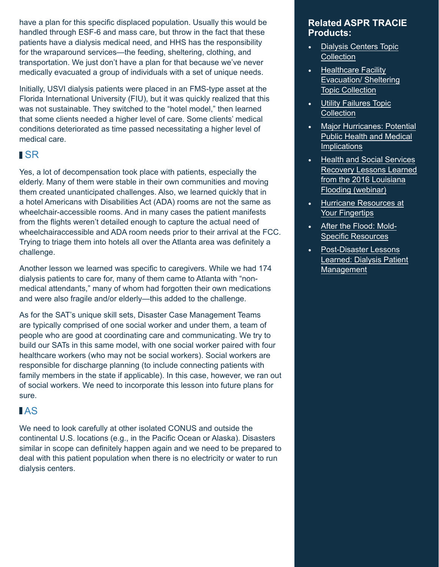have a plan for this specific displaced population. Usually this would be handled through ESF-6 and mass care, but throw in the fact that these patients have a dialysis medical need, and HHS has the responsibility for the wraparound services—the feeding, sheltering, clothing, and transportation. We just don't have a plan for that because we've never medically evacuated a group of individuals with a set of unique needs.

Initially, USVI dialysis patients were placed in an FMS-type asset at the Florida International University (FIU), but it was quickly realized that this was not sustainable. They switched to the "hotel model," then learned that some clients needed a higher level of care. Some clients' medical conditions deteriorated as time passed necessitating a higher level of medical care.

## **ISR**

Yes, a lot of decompensation took place with patients, especially the elderly. Many of them were stable in their own communities and moving them created unanticipated challenges. Also, we learned quickly that in a hotel Americans with Disabilities Act (ADA) rooms are not the same as wheelchair-accessible rooms. And in many cases the patient manifests from the flights weren't detailed enough to capture the actual need of wheelchairaccessible and ADA room needs prior to their arrival at the FCC. Trying to triage them into hotels all over the Atlanta area was definitely a challenge.

Another lesson we learned was specific to caregivers. While we had 174 dialysis patients to care for, many of them came to Atlanta with "nonmedical attendants," many of whom had forgotten their own medications and were also fragile and/or elderly—this added to the challenge.

As for the SAT's unique skill sets, Disaster Case Management Teams are typically comprised of one social worker and under them, a team of people who are good at coordinating care and communicating. We try to build our SATs in this same model, with one social worker paired with four healthcare workers (who may not be social workers). Social workers are responsible for discharge planning (to include connecting patients with family members in the state if applicable). In this case, however, we ran out of social workers. We need to incorporate this lesson into future plans for sure.

# AS

We need to look carefully at other isolated CONUS and outside the continental U.S. locations (e.g., in the Pacific Ocean or Alaska). Disasters similar in scope can definitely happen again and we need to be prepared to deal with this patient population when there is no electricity or water to run dialysis centers.

#### **Related ASPR TRACIE Products:**

- [Dialysis Centers Topic](https://asprtracie.hhs.gov/technical-resources/50/dialysis-centers/47) **[Collection](https://asprtracie.hhs.gov/technical-resources/50/dialysis-centers/47)**
- [Healthcare Facility](https://asprtracie.hhs.gov/technical-resources/57/healthcare-facility-evacuation-sheltering/56) [Evacuation/ Sheltering](https://asprtracie.hhs.gov/technical-resources/57/healthcare-facility-evacuation-sheltering/56) [Topic Collection](https://asprtracie.hhs.gov/technical-resources/57/healthcare-facility-evacuation-sheltering/56)
- **[Utility Failures Topic](https://asprtracie.hhs.gov/technical-resources/35/utility-failures-blackouts-potable-water/27) [Collection](https://asprtracie.hhs.gov/technical-resources/35/utility-failures-blackouts-potable-water/27)**
- **[Major Hurricanes: Potential](https://asprtracie.s3.amazonaws.com/documents/asprtracie-major-hurricanes-potential-considerations-working-draft.pdf)** [Public Health and Medical](https://asprtracie.s3.amazonaws.com/documents/asprtracie-major-hurricanes-potential-considerations-working-draft.pdf) **[Implications](https://asprtracie.s3.amazonaws.com/documents/asprtracie-major-hurricanes-potential-considerations-working-draft.pdf)**
- **[Health and Social Services](https://asprtracie.s3.amazonaws.com/documents/aspr-tracie-recovery-lessons-learned-webinar-ppt-final-508.pdf)** [Recovery Lessons Learned](https://asprtracie.s3.amazonaws.com/documents/aspr-tracie-recovery-lessons-learned-webinar-ppt-final-508.pdf) [from the 2016 Louisiana](https://asprtracie.s3.amazonaws.com/documents/aspr-tracie-recovery-lessons-learned-webinar-ppt-final-508.pdf) [Flooding \(webinar\)](https://asprtracie.s3.amazonaws.com/documents/aspr-tracie-recovery-lessons-learned-webinar-ppt-final-508.pdf)
- [Hurricane Resources at](https://asprtracie.s3.amazonaws.com/documents/aspr-tracie-hurricane-resources-at-your-fingertips.pdf) [Your Fingertips](https://asprtracie.s3.amazonaws.com/documents/aspr-tracie-hurricane-resources-at-your-fingertips.pdf)
- [After the Flood: Mold-](https://asprtracie.s3.amazonaws.com/documents/after-the-flood-mold-specific-resources.pdf)**Specific Resources**
- Post-Disaster Lessons [L](https://files.asprtracie.hhs.gov/documents/aspr-tracie-ta-post-disaster-dialysis-best-practices.pdf)[earned: Dialysis Patient](https://asprtracie.s3.amazonaws.com/documents/after-the-flood-mold-specific-resources.pdf) Management